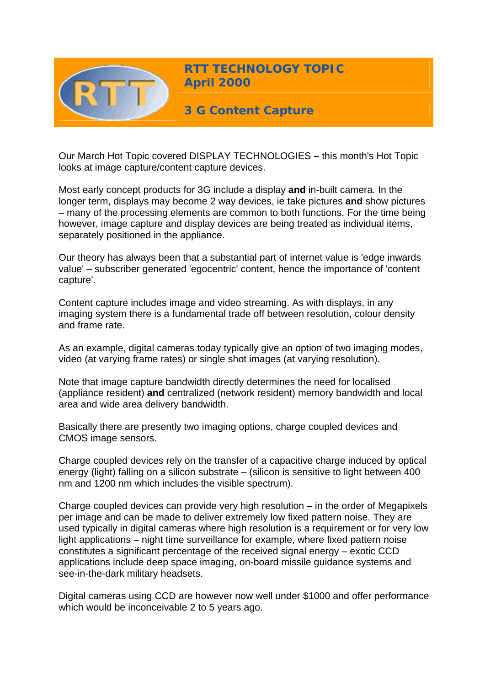

**RTT TECHNOLOGY TOPIC April 2000**

**3 G Content Capture** 

Our March Hot Topic covered DISPLAY TECHNOLOGIES **–** this month's Hot Topic looks at image capture/content capture devices.

Most early concept products for 3G include a display **and** in-built camera. In the longer term, displays may become 2 way devices, ie take pictures **and** show pictures – many of the processing elements are common to both functions. For the time being however, image capture and display devices are being treated as individual items, separately positioned in the appliance.

Our theory has always been that a substantial part of internet value is 'edge inwards value' – subscriber generated 'egocentric' content, hence the importance of 'content capture'.

Content capture includes image and video streaming. As with displays, in any imaging system there is a fundamental trade off between resolution, colour density and frame rate.

As an example, digital cameras today typically give an option of two imaging modes, video (at varying frame rates) or single shot images (at varying resolution).

Note that image capture bandwidth directly determines the need for localised (appliance resident) **and** centralized (network resident) memory bandwidth and local area and wide area delivery bandwidth.

Basically there are presently two imaging options, charge coupled devices and CMOS image sensors.

Charge coupled devices rely on the transfer of a capacitive charge induced by optical energy (light) falling on a silicon substrate – (silicon is sensitive to light between 400 nm and 1200 nm which includes the visible spectrum).

Charge coupled devices can provide very high resolution – in the order of Megapixels per image and can be made to deliver extremely low fixed pattern noise. They are used typically in digital cameras where high resolution is a requirement or for very low light applications – night time surveillance for example, where fixed pattern noise constitutes a significant percentage of the received signal energy – exotic CCD applications include deep space imaging, on-board missile guidance systems and see-in-the-dark military headsets.

Digital cameras using CCD are however now well under \$1000 and offer performance which would be inconceivable 2 to 5 years ago.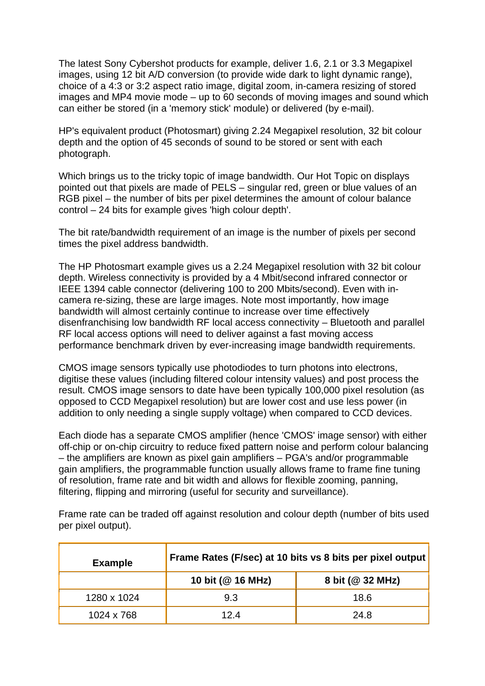The latest Sony Cybershot products for example, deliver 1.6, 2.1 or 3.3 Megapixel images, using 12 bit A/D conversion (to provide wide dark to light dynamic range), choice of a 4:3 or 3:2 aspect ratio image, digital zoom, in-camera resizing of stored images and MP4 movie mode – up to 60 seconds of moving images and sound which can either be stored (in a 'memory stick' module) or delivered (by e-mail).

HP's equivalent product (Photosmart) giving 2.24 Megapixel resolution, 32 bit colour depth and the option of 45 seconds of sound to be stored or sent with each photograph.

Which brings us to the tricky topic of image bandwidth. Our Hot Topic on displays pointed out that pixels are made of PELS – singular red, green or blue values of an RGB pixel – the number of bits per pixel determines the amount of colour balance control – 24 bits for example gives 'high colour depth'.

The bit rate/bandwidth requirement of an image is the number of pixels per second times the pixel address bandwidth.

The HP Photosmart example gives us a 2.24 Megapixel resolution with 32 bit colour depth. Wireless connectivity is provided by a 4 Mbit/second infrared connector or IEEE 1394 cable connector (delivering 100 to 200 Mbits/second). Even with incamera re-sizing, these are large images. Note most importantly, how image bandwidth will almost certainly continue to increase over time effectively disenfranchising low bandwidth RF local access connectivity – Bluetooth and parallel RF local access options will need to deliver against a fast moving access performance benchmark driven by ever-increasing image bandwidth requirements.

CMOS image sensors typically use photodiodes to turn photons into electrons, digitise these values (including filtered colour intensity values) and post process the result. CMOS image sensors to date have been typically 100,000 pixel resolution (as opposed to CCD Megapixel resolution) but are lower cost and use less power (in addition to only needing a single supply voltage) when compared to CCD devices.

Each diode has a separate CMOS amplifier (hence 'CMOS' image sensor) with either off-chip or on-chip circuitry to reduce fixed pattern noise and perform colour balancing – the amplifiers are known as pixel gain amplifiers – PGA's and/or programmable gain amplifiers, the programmable function usually allows frame to frame fine tuning of resolution, frame rate and bit width and allows for flexible zooming, panning, filtering, flipping and mirroring (useful for security and surveillance).

Frame rate can be traded off against resolution and colour depth (number of bits used per pixel output).

| <b>Example</b> | Frame Rates (F/sec) at 10 bits vs 8 bits per pixel output |                  |
|----------------|-----------------------------------------------------------|------------------|
|                | 10 bit (@ 16 MHz)                                         | 8 bit (@ 32 MHz) |
| 1280 x 1024    | 9.3                                                       | 18.6             |
| 1024 x 768     | 124                                                       | 24.8             |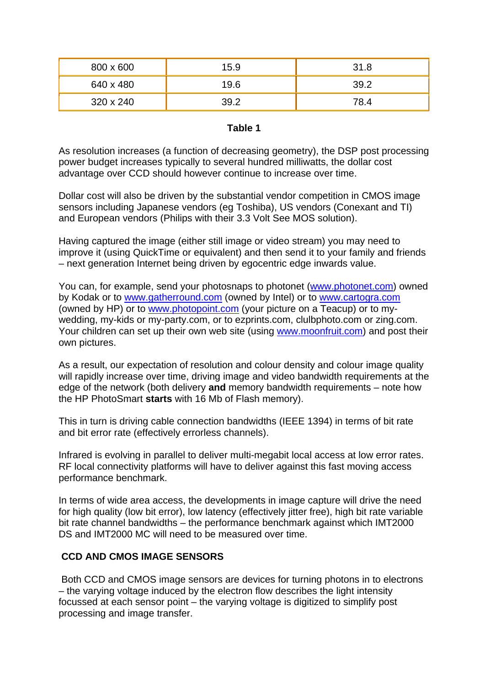| 800 x 600 | 15.9 | 31.8 |
|-----------|------|------|
| 640 x 480 | 19.6 | 39.2 |
| 320 x 240 | 39.2 | 78.4 |

#### **Table 1**

As resolution increases (a function of decreasing geometry), the DSP post processing power budget increases typically to several hundred milliwatts, the dollar cost advantage over CCD should however continue to increase over time.

Dollar cost will also be driven by the substantial vendor competition in CMOS image sensors including Japanese vendors (eg Toshiba), US vendors (Conexant and TI) and European vendors (Philips with their 3.3 Volt See MOS solution).

Having captured the image (either still image or video stream) you may need to improve it (using QuickTime or equivalent) and then send it to your family and friends – next generation Internet being driven by egocentric edge inwards value.

You can, for example, send your photosnaps to photonet [\(www.photonet.com\)](http://www.photonet.com/) owned by Kodak or to [www.gatherround.com](http://www.gatherround.com/) (owned by Intel) or to [www.cartogra.com](http://www.cartogra.com/) (owned by HP) or to [www.photopoint.com](http://www.photopoint.com/) (your picture on a Teacup) or to mywedding, my-kids or my-party.com, or to ezprints.com, clulbphoto.com or zing.com. Your children can set up their own web site (using [www.moonfruit.com](http://www.moonfruit.com/)) and post their own pictures.

As a result, our expectation of resolution and colour density and colour image quality will rapidly increase over time, driving image and video bandwidth requirements at the edge of the network (both delivery **and** memory bandwidth requirements – note how the HP PhotoSmart **starts** with 16 Mb of Flash memory).

This in turn is driving cable connection bandwidths (IEEE 1394) in terms of bit rate and bit error rate (effectively errorless channels).

Infrared is evolving in parallel to deliver multi-megabit local access at low error rates. RF local connectivity platforms will have to deliver against this fast moving access performance benchmark.

In terms of wide area access, the developments in image capture will drive the need for high quality (low bit error), low latency (effectively jitter free), high bit rate variable bit rate channel bandwidths – the performance benchmark against which IMT2000 DS and IMT2000 MC will need to be measured over time.

## **CCD AND CMOS IMAGE SENSORS**

 Both CCD and CMOS image sensors are devices for turning photons in to electrons – the varying voltage induced by the electron flow describes the light intensity focussed at each sensor point – the varying voltage is digitized to simplify post processing and image transfer.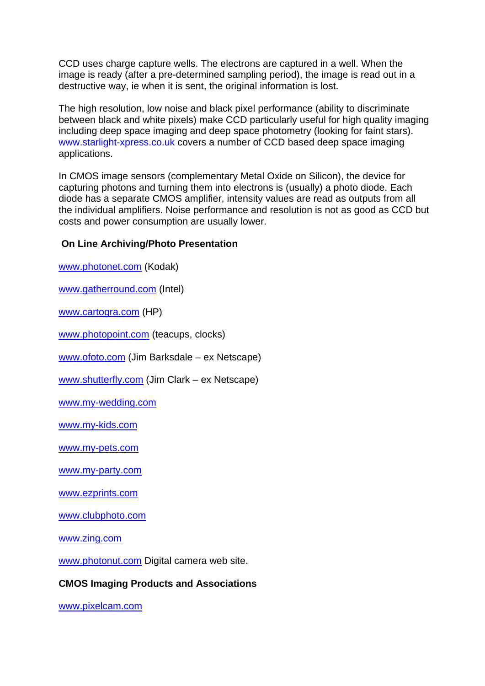CCD uses charge capture wells. The electrons are captured in a well. When the image is ready (after a pre-determined sampling period), the image is read out in a destructive way, ie when it is sent, the original information is lost.

The high resolution, low noise and black pixel performance (ability to discriminate between black and white pixels) make CCD particularly useful for high quality imaging including deep space imaging and deep space photometry (looking for faint stars). [www.starlight-xpress.co.uk](http://www.starlight-xpress.co.uk/) covers a number of CCD based deep space imaging applications.

In CMOS image sensors (complementary Metal Oxide on Silicon), the device for capturing photons and turning them into electrons is (usually) a photo diode. Each diode has a separate CMOS amplifier, intensity values are read as outputs from all the individual amplifiers. Noise performance and resolution is not as good as CCD but costs and power consumption are usually lower.

# **On Line Archiving/Photo Presentation**

[www.photonet.com](http://www.photonet.com/) (Kodak)

[www.gatherround.com](http://www.gatherround.com/) (Intel)

[www.cartogra.com](http://www.cartogra.com/) (HP)

[www.photopoint.com](http://www.photopoint.com/) (teacups, clocks)

[www.ofoto.com](http://www.ofoto.com/) (Jim Barksdale – ex Netscape)

[www.shutterfly.com](http://www.shutterfly.com/) (Jim Clark – ex Netscape)

[www.my-wedding.com](http://www.my-wedding.com/)

[www.my-kids.com](http://www.my-kids.com/) 

[www.my-pets.com](http://www.my-pets.com/) 

[www.my-party.com](http://www.my-party.com/)

[www.ezprints.com](http://www.ezprints.com/)

[www.clubphoto.com](http://www.clubphoto.com/)

[www.zing.com](http://www.zing.com/)

[www.photonut.com](http://www.photonut.com/) Digital camera web site.

## **CMOS Imaging Products and Associations**

[www.pixelcam.com](http://www.pixelcam.com/)